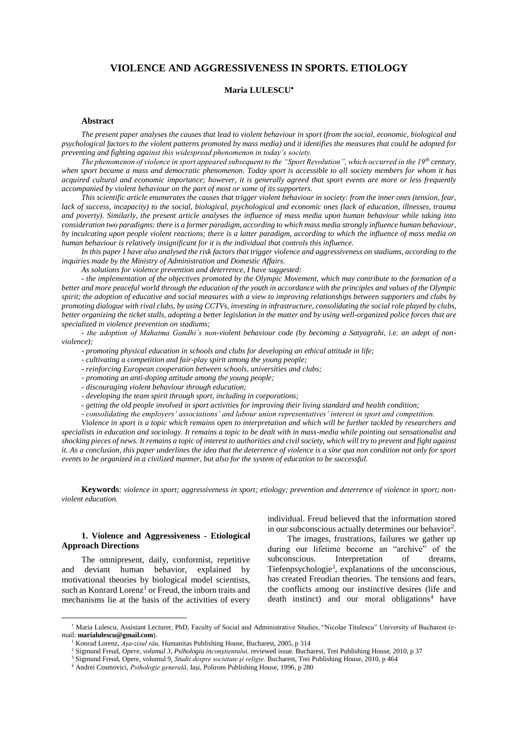# **VIOLENCE AND AGGRESSIVENESS IN SPORTS. ETIOLOGY**

### **Maria LULESCU**

### **Abstract**

*The present paper analyses the causes that lead to violent behaviour in sport (from the social, economic, biological and psychological factors to the violent patterns promoted by mass media) and it identifies the measures that could be adopted for preventing and fighting against this widespread phenomenon in today's society.* 

*The phenomenon of violence in sport appeared subsequent to the "Sport Revolution", which occurred in the 19th century, when sport became a mass and democratic phenomenon. Today sport is accessible to all society members for whom it has acquired cultural and economic importance; however, it is generally agreed that sport events are more or less frequently accompanied by violent behaviour on the part of most or some of its supporters.*

*This scientific article enumerates the causes that trigger violent behaviour in society: from the inner ones (tension, fear, lack of success, incapacity) to the social, biological, psychological and economic ones (lack of education, illnesses, trauma and poverty). Similarly, the present article analyses the influence of mass media upon human behaviour while taking into consideration two paradigms: there is a former paradigm, according to which mass media strongly influence human behaviour, by inculcating upon people violent reactions; there is a latter paradigm, according to which the influence of mass media on human behaviour is relatively insignificant for it is the individual that controls this influence.*

*In this paper I have also analysed the risk factors that trigger violence and aggressiveness on stadiums, according to the inquiries made by the Ministry of Administration and Domestic Affairs.*

*As solutions for violence prevention and deterrence, I have suggested:* 

- *the implementation of the objectives promoted by the Olympic Movement, which may contribute to the formation of a better and more peaceful world through the education of the youth in accordance with the principles and values of the Olympic spirit; the adoption of educative and social measures with a view to improving relationships between supporters and clubs by promoting dialogue with rival clubs, by using CCTVs, investing in infrastructure, consolidating the social role played by clubs, better organizing the ticket stalls, adopting a better legislation in the matter and by using well-organized police forces that are specialized in violence prevention on stadiums;*

*- the adoption of Mahatma Gandhi's non-violent behaviour code (by becoming a Satyagrahi, i.e. an adept of nonviolence);*

*- promoting physical education in schools and clubs for developing an ethical attitude in life;*

*- cultivating a competition and fair-play spirit among the young people;*

*- reinforcing European cooperation between schools, universities and clubs;*

*- promoting an anti-doping attitude among the young people;*

*- discouraging violent behaviour through education;* 

*- developing the team spirit through sport, including in corporations;* 

*- getting the old people involved in sport activities for improving their living standard and health condition;* 

*- consolidating the employers' associations' and labour union representatives' interest in sport and competition.*

*Violence in sport is a topic which remains open to interpretation and which will be further tackled by researchers and specialists in education and sociology. It remains a topic to be dealt with in mass-media while pointing out sensationalist and shocking pieces of news. It remains a topic of interest to authorities and civil society, which will try to prevent and fight against it. As a conclusion, this paper underlines the idea that the deterrence of violence is a sine qua non condition not only for sport events to be organized in a civilized manner, but also for the system of education to be successful.*

**Keywords**: *violence in sport; aggressiveness in sport; etiology; prevention and deterrence of violence in sport; nonviolent education.*

### **1. Violence and Aggressiveness - Etiological Approach Directions**

The omnipresent, daily, conformist, repetitive and deviant human behavior, explained by motivational theories by biological model scientists, such as Konrard Lorenz<sup>1</sup> or Freud, the inborn traits and mechanisms lie at the basis of the activities of every

 $\overline{a}$ 

individual. Freud believed that the information stored in our subconscious actually determines our behavior<sup>2</sup>.

The images, frustrations, failures we gather up during our lifetime become an "archive" of the subconscious. Interpretation of dreams, Tiefenpsychologie<sup>3</sup> , explanations of the unconscious, has created Freudian theories. The tensions and fears, the conflicts among our instinctive desires (life and death instinct) and our moral obligations<sup>4</sup> have

<sup>\*</sup> Maria Lulescu, Assistant Lecturer, PhD, Faculty of Social and Administrative Studies, "Nicolae Titulescu" University of Bucharest (email: **marialulescu@gmail.com**).

<sup>1</sup> Konrad Lorenz, *Aşa-zisul rău,* Humanitas Publishing House, Bucharest, 2005, p 314

<sup>2</sup> Sigmund Freud, *Opere, volumul 3, Psihologia inconştientului,* reviewed issue. Bucharest, Trei Publishing House, 2010, p 37

<sup>3</sup> Sigmund Freud, Opere, volumul 9, *Studii despre societate şi religie*. Bucharest, Trei Publishing House, 2010, p 464

<sup>4</sup> Andrei Cosmovici, *Psihologie generală*, Iaşi, Polirom Publishing House, 1996, p 280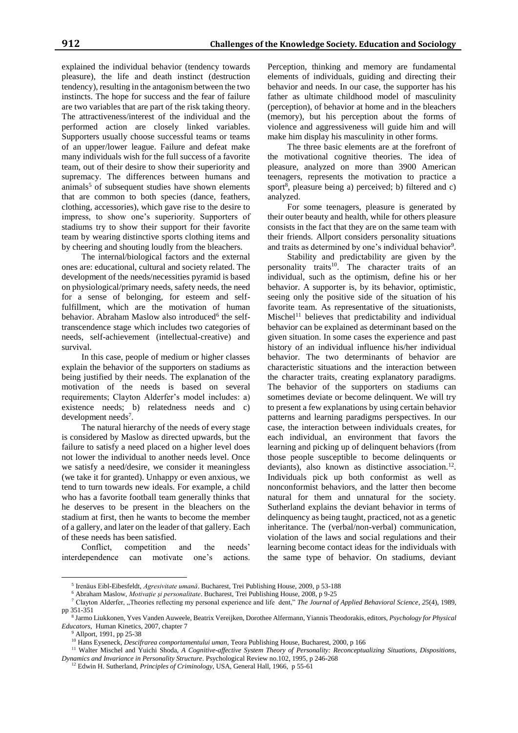explained the individual behavior (tendency towards pleasure), the life and death instinct (destruction tendency), resulting in the antagonism between the two instincts. The hope for success and the fear of failure are two variables that are part of the risk taking theory. The attractiveness/interest of the individual and the performed action are closely linked variables. Supporters usually choose successful teams or teams of an upper/lower league. Failure and defeat make many individuals wish for the full success of a favorite team, out of their desire to show their superiority and supremacy. The differences between humans and  $animals<sup>5</sup>$  of subsequent studies have shown elements that are common to both species (dance, feathers, clothing, accessories), which gave rise to the desire to impress, to show one's superiority. Supporters of stadiums try to show their support for their favorite team by wearing distinctive sports clothing items and by cheering and shouting loudly from the bleachers.

The internal/biological factors and the external ones are: educational, cultural and society related. The development of the needs/necessities pyramid is based on physiological/primary needs, safety needs, the need for a sense of belonging, for esteem and selffulfillment, which are the motivation of human behavior. Abraham Maslow also introduced<sup>6</sup> the selftranscendence stage which includes two categories of needs, self-achievement (intellectual-creative) and survival.

In this case, people of medium or higher classes explain the behavior of the supporters on stadiums as being justified by their needs. The explanation of the motivation of the needs is based on several requirements; Clayton Alderfer's model includes: a) existence needs; b) relatedness needs and c) development needs<sup>7</sup>.

The natural hierarchy of the needs of every stage is considered by Maslow as directed upwards, but the failure to satisfy a need placed on a higher level does not lower the individual to another needs level. Once we satisfy a need/desire, we consider it meaningless (we take it for granted). Unhappy or even anxious, we tend to turn towards new ideals. For example, a child who has a favorite football team generally thinks that he deserves to be present in the bleachers on the stadium at first, then he wants to become the member of a gallery, and later on the leader of that gallery. Each of these needs has been satisfied.

Conflict, competition and the needs' interdependence can motivate one's actions. Perception, thinking and memory are fundamental elements of individuals, guiding and directing their behavior and needs. In our case, the supporter has his father as ultimate childhood model of masculinity (perception), of behavior at home and in the bleachers (memory), but his perception about the forms of violence and aggressiveness will guide him and will make him display his masculinity in other forms.

The three basic elements are at the forefront of the motivational cognitive theories. The idea of pleasure, analyzed on more than 3900 American teenagers, represents the motivation to practice a sport<sup>8</sup>, pleasure being a) perceived; b) filtered and c) analyzed.

For some teenagers, pleasure is generated by their outer beauty and health, while for others pleasure consists in the fact that they are on the same team with their friends. Allport considers personality situations and traits as determined by one's individual behavior<sup>9</sup>.

Stability and predictability are given by the personality traits<sup>10</sup>. The character traits of an individual, such as the optimism, define his or her behavior. A supporter is, by its behavior, optimistic, seeing only the positive side of the situation of his favorite team. As representative of the situationists, Mischel<sup>11</sup> believes that predictability and individual behavior can be explained as determinant based on the given situation. In some cases the experience and past history of an individual influence his/her individual behavior. The two determinants of behavior are characteristic situations and the interaction between the character traits, creating explanatory paradigms. The behavior of the supporters on stadiums can sometimes deviate or become delinquent. We will try to present a few explanations by using certain behavior patterns and learning paradigms perspectives. In our case, the interaction between individuals creates, for each individual, an environment that favors the learning and picking up of delinquent behaviors (from those people susceptible to become delinquents or deviants), also known as distinctive association.<sup>12</sup>. Individuals pick up both conformist as well as nonconformist behaviors, and the latter then become natural for them and unnatural for the society. Sutherland explains the deviant behavior in terms of delinquency as being taught, practiced, not as a genetic inheritance. The (verbal/non-verbal) communication, violation of the laws and social regulations and their learning become contact ideas for the individuals with the same type of behavior. On stadiums, deviant

<sup>5</sup> Irenäus Eibl-Eibesfeldt, *Agresivitate umanǎ*. Bucharest, Trei Publishing House, 2009, p 53-188

<sup>6</sup> Abraham Maslow, *Motivaţie şi personalitate*. Bucharest, Trei Publishing House, 2008, p 9-25

<sup>&</sup>lt;sup>7</sup> Clayton Alderfer, "Theories reflecting my personal experience and life dent," *The Journal of Applied Behavioral Science*, 25(4), 1989, pp 351-351

<sup>8</sup> Jarmo Liukkonen, Yves Vanden Auweele, Beatrix Vereijken, Dorothee Alfermann, Yiannis Theodorakis, editors, *Psychology for Physical Educators*, Human Kinetics, 2007, chapter 7

 $9$  Allport, 1991, pp 25-38

<sup>&</sup>lt;sup>10</sup> Hans Eyseneck, *Descifrarea comportamentului uman*, Teora Publishing House, Bucharest, 2000, p 166

<sup>&</sup>lt;sup>11</sup> Walter Mischel and Yuichi Shoda, *A Cognitive-affective System Theory of Personality: Reconceptualizing Situations, Dispositions, Dynamics and Invariance in Personality Structure*. Psychological Review no.102, 1995, p 246-268

<sup>12</sup> Edwin H. Sutherland, *Principles of Criminology*, USA, General Hall, 1966, p 55-61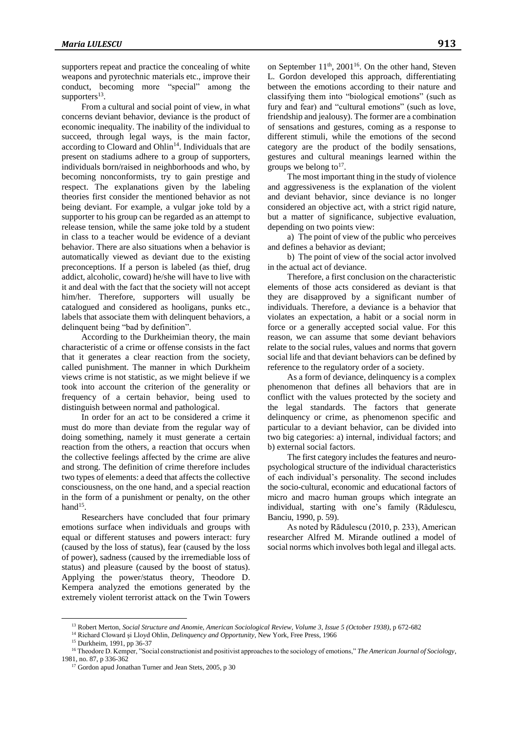supporters repeat and practice the concealing of white weapons and pyrotechnic materials etc., improve their conduct, becoming more "special" among the supporters<sup>13</sup>.

From a cultural and social point of view, in what concerns deviant behavior, deviance is the product of economic inequality. The inability of the individual to succeed, through legal ways, is the main factor, according to Cloward and Ohlin<sup>14</sup>. Individuals that are present on stadiums adhere to a group of supporters, individuals born/raised in neighborhoods and who, by becoming nonconformists, try to gain prestige and respect. The explanations given by the labeling theories first consider the mentioned behavior as not being deviant. For example, a vulgar joke told by a supporter to his group can be regarded as an attempt to release tension, while the same joke told by a student in class to a teacher would be evidence of a deviant behavior. There are also situations when a behavior is automatically viewed as deviant due to the existing preconceptions. If a person is labeled (as thief, drug addict, alcoholic, coward) he/she will have to live with it and deal with the fact that the society will not accept him/her. Therefore, supporters will usually be catalogued and considered as hooligans, punks etc., labels that associate them with delinquent behaviors, a delinquent being "bad by definition".

According to the Durkheimian theory, the main characteristic of a crime or offense consists in the fact that it generates a clear reaction from the society, called punishment. The manner in which Durkheim views crime is not statistic, as we might believe if we took into account the criterion of the generality or frequency of a certain behavior, being used to distinguish between normal and pathological.

In order for an act to be considered a crime it must do more than deviate from the regular way of doing something, namely it must generate a certain reaction from the others, a reaction that occurs when the collective feelings affected by the crime are alive and strong. The definition of crime therefore includes two types of elements: a deed that affects the collective consciousness, on the one hand, and a special reaction in the form of a punishment or penalty, on the other hand $15$ .

Researchers have concluded that four primary emotions surface when individuals and groups with equal or different statuses and powers interact: fury (caused by the loss of status), fear (caused by the loss of power), sadness (caused by the irremediable loss of status) and pleasure (caused by the boost of status). Applying the power/status theory, Theodore D. Kempera analyzed the emotions generated by the extremely violent terrorist attack on the Twin Towers

on September 11<sup>th</sup>, 2001<sup>16</sup>. On the other hand, Steven L. Gordon developed this approach, differentiating between the emotions according to their nature and classifying them into "biological emotions" (such as fury and fear) and "cultural emotions" (such as love, friendship and jealousy). The former are a combination of sensations and gestures, coming as a response to different stimuli, while the emotions of the second category are the product of the bodily sensations, gestures and cultural meanings learned within the groups we belong to<sup>17</sup>.

The most important thing in the study of violence and aggressiveness is the explanation of the violent and deviant behavior, since deviance is no longer considered an objective act, with a strict rigid nature, but a matter of significance, subjective evaluation, depending on two points view:

a) The point of view of the public who perceives and defines a behavior as deviant;

b) The point of view of the social actor involved in the actual act of deviance.

Therefore, a first conclusion on the characteristic elements of those acts considered as deviant is that they are disapproved by a significant number of individuals. Therefore, a deviance is a behavior that violates an expectation, a habit or a social norm in force or a generally accepted social value. For this reason, we can assume that some deviant behaviors relate to the social rules, values and norms that govern social life and that deviant behaviors can be defined by reference to the regulatory order of a society.

As a form of deviance, delinquency is a complex phenomenon that defines all behaviors that are in conflict with the values protected by the society and the legal standards. The factors that generate delinquency or crime, as phenomenon specific and particular to a deviant behavior, can be divided into two big categories: a) internal, individual factors; and b) external social factors.

The first category includes the features and neuropsychological structure of the individual characteristics of each individual's personality. The second includes the socio-cultural, economic and educational factors of micro and macro human groups which integrate an individual, starting with one's family (Rădulescu, Banciu, 1990, p. 59).

As noted by Rădulescu (2010, p. 233), American researcher Alfred M. Mirande outlined a model of social norms which involves both legal and illegal acts.

<sup>13</sup> Robert Merton, *Social Structure and Anomi*e, *American Sociological Review, Volume 3, Issue 5 (October 1938)*, p 672-682

<sup>&</sup>lt;sup>14</sup> Richard Cloward și Lloyd Ohlin, *Delinquency and Opportunity*, New York, Free Press, 1966

<sup>15</sup> Durkheim, 1991, pp 36-37

<sup>&</sup>lt;sup>16</sup> Theodore D. Kemper, "Social constructionist and positivist approaches to the sociology of emotions," *The American Journal of Sociology*, 1981, no. 87, p 336-362

<sup>&</sup>lt;sup>17</sup> Gordon apud Jonathan Turner and Jean Stets, 2005, p 30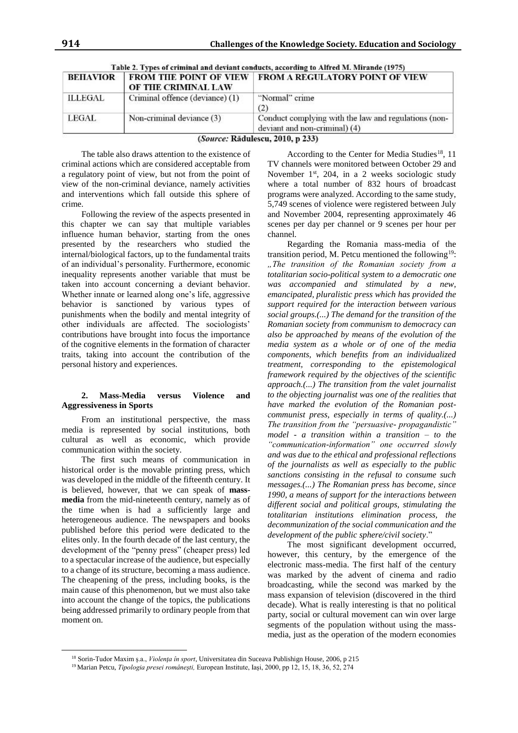| <b>BEHAVIOR</b> | OF THE CRIMINAL LAW             | <b>FROM THE POINT OF VIEW FROM A REGULATORY POINT OF VIEW</b>                         |
|-----------------|---------------------------------|---------------------------------------------------------------------------------------|
| ILLEGAL         | Criminal offence (deviance) (1) | "Normal" crime<br>(2)                                                                 |
| LEGAL           | Non-criminal deviance (3)       | Conduct complying with the law and regulations (non-<br>deviant and non-criminal) (4) |

|  | Table 2. Types of criminal and deviant conducts, according to Alfred M. Mirande (1975) |  |
|--|----------------------------------------------------------------------------------------|--|
|  |                                                                                        |  |

(Source: Rădulescu, 2010, p 233)

The table also draws attention to the existence of criminal actions which are considered acceptable from a regulatory point of view, but not from the point of view of the non-criminal deviance, namely activities and interventions which fall outside this sphere of crime.

Following the review of the aspects presented in this chapter we can say that multiple variables influence human behavior, starting from the ones presented by the researchers who studied the internal/biological factors, up to the fundamental traits of an individual's personality. Furthermore, economic inequality represents another variable that must be taken into account concerning a deviant behavior. Whether innate or learned along one's life, aggressive behavior is sanctioned by various types of punishments when the bodily and mental integrity of other individuals are affected. The sociologists' contributions have brought into focus the importance of the cognitive elements in the formation of character traits, taking into account the contribution of the personal history and experiences.

## **2. Mass-Media versus Violence and Aggressiveness in Sports**

From an institutional perspective, the mass media is represented by social institutions, both cultural as well as economic, which provide communication within the society.

The first such means of communication in historical order is the movable printing press, which was developed in the middle of the fifteenth century. It is believed, however, that we can speak of **massmedia** from the mid-nineteenth century, namely as of the time when is had a sufficiently large and heterogeneous audience. The newspapers and books published before this period were dedicated to the elites only. In the fourth decade of the last century, the development of the "penny press" (cheaper press) led to a spectacular increase of the audience, but especially to a change of its structure, becoming a mass audience. The cheapening of the press, including books, is the main cause of this phenomenon, but we must also take into account the change of the topics, the publications being addressed primarily to ordinary people from that moment on.

 $\overline{a}$ 

According to the Center for Media Studies<sup>18</sup>, 11 TV channels were monitored between October 29 and November 1<sup>st</sup>, 204, in a 2 weeks sociologic study where a total number of 832 hours of broadcast programs were analyzed. According to the same study, 5,749 scenes of violence were registered between July and November 2004, representing approximately 46 scenes per day per channel or 9 scenes per hour per channel.

Regarding the Romania mass-media of the transition period, M. Petcu mentioned the following<sup>19</sup>: *"The transition of the Romanian society from a totalitarian socio-political system to a democratic one was accompanied and stimulated by a new, emancipated, pluralistic press which has provided the support required for the interaction between various social groups.(...) The demand for the transition of the Romanian society from communism to democracy can also be approached by means of the evolution of the media system as a whole or of one of the media components, which benefits from an individualized treatment, corresponding to the epistemological framework required by the objectives of the scientific approach.(...) The transition from the valet journalist to the objecting journalist was one of the realities that have marked the evolution of the Romanian postcommunist press, especially in terms of quality.(...) The transition from the "persuasive- propagandistic" model - a transition within a transition – to the "communication-information" one occurred slowly and was due to the ethical and professional reflections of the journalists as well as especially to the public sanctions consisting in the refusal to consume such messages.(...) The Romanian press has become, since 1990, a means of support for the interactions between different social and political groups, stimulating the totalitarian institutions elimination process, the decommunization of the social communication and the development of the public sphere/civil society*."

The most significant development occurred, however, this century, by the emergence of the electronic mass-media. The first half of the century was marked by the advent of cinema and radio broadcasting, while the second was marked by the mass expansion of television (discovered in the third decade). What is really interesting is that no political party, social or cultural movement can win over large segments of the population without using the massmedia, just as the operation of the modern economies

<sup>18</sup> Sorin-Tudor Maxim ş.a., *Violenţa în sport*, Universitatea din Suceava Publishign House, 2006, p 215

<sup>19</sup> Marian Petcu, *Tipologia presei româneşti,* European Institute, Iaşi, 2000, pp 12, 15, 18, 36, 52, 274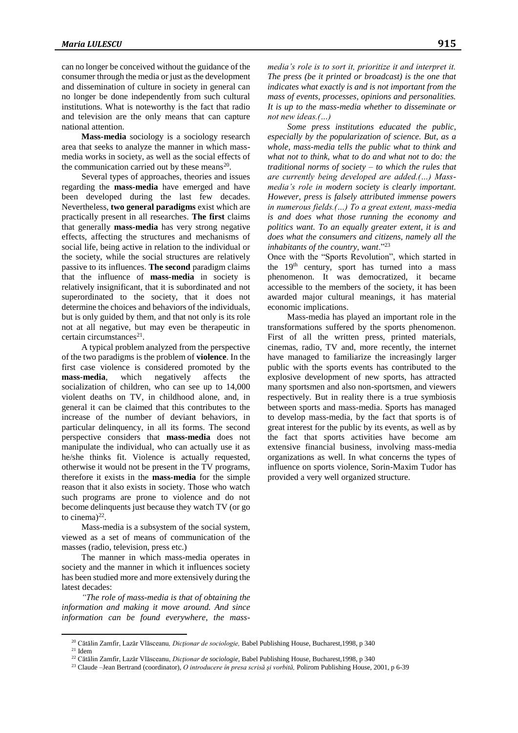can no longer be conceived without the guidance of the consumer through the media or just as the development and dissemination of culture in society in general can no longer be done independently from such cultural institutions. What is noteworthy is the fact that radio and television are the only means that can capture national attention.

**Mass-media** sociology is a sociology research area that seeks to analyze the manner in which massmedia works in society, as well as the social effects of the communication carried out by these means $^{20}$ .

Several types of approaches, theories and issues regarding the **mass-media** have emerged and have been developed during the last few decades. Nevertheless, **two general paradigms** exist which are practically present in all researches. **The first** claims that generally **mass-media** has very strong negative effects, affecting the structures and mechanisms of social life, being active in relation to the individual or the society, while the social structures are relatively passive to its influences. **The second** paradigm claims that the influence of **mass-media** in society is relatively insignificant, that it is subordinated and not superordinated to the society, that it does not determine the choices and behaviors of the individuals, but is only guided by them, and that not only is its role not at all negative, but may even be therapeutic in  $c$ ertain circumstances<sup>21</sup>.

A typical problem analyzed from the perspective of the two paradigms is the problem of **violence**. In the first case violence is considered promoted by the **mass-media**, which negatively affects the socialization of children, who can see up to 14,000 violent deaths on TV, in childhood alone, and, in general it can be claimed that this contributes to the increase of the number of deviant behaviors, in particular delinquency, in all its forms. The second perspective considers that **mass-media** does not manipulate the individual, who can actually use it as he/she thinks fit. Violence is actually requested, otherwise it would not be present in the TV programs, therefore it exists in the **mass-media** for the simple reason that it also exists in society. Those who watch such programs are prone to violence and do not become delinquents just because they watch TV (or go to cinema) $^{22}$ .

Mass-media is a subsystem of the social system, viewed as a set of means of communication of the masses (radio, television, press etc.)

The manner in which mass-media operates in society and the manner in which it influences society has been studied more and more extensively during the latest decades:

*"The role of mass-media is that of obtaining the information and making it move around. And since information can be found everywhere, the mass-*

*media's role is to sort it, prioritize it and interpret it. The press (be it printed or broadcast) is the one that indicates what exactly is and is not important from the mass of events, processes, opinions and personalities. It is up to the mass-media whether to disseminate or not new ideas.(…)* 

*Some press institutions educated the public, especially by the popularization of science. But, as a whole, mass-media tells the public what to think and what not to think, what to do and what not to do: the traditional norms of society – to which the rules that are currently being developed are added.(…) Massmedia's role in modern society is clearly important. However, press is falsely attributed immense powers in numerous fields.(…) To a great extent, mass-media is and does what those running the economy and politics want. To an equally greater extent, it is and does what the consumers and citizens, namely all the inhabitants of the country, want*."<sup>23</sup>

Once with the "Sports Revolution", which started in the  $19<sup>th</sup>$  century, sport has turned into a mass phenomenon. It was democratized, it became accessible to the members of the society, it has been awarded major cultural meanings, it has material economic implications.

Mass-media has played an important role in the transformations suffered by the sports phenomenon. First of all the written press, printed materials, cinemas, radio, TV and, more recently, the internet have managed to familiarize the increasingly larger public with the sports events has contributed to the explosive development of new sports, has attracted many sportsmen and also non-sportsmen, and viewers respectively. But in reality there is a true symbiosis between sports and mass-media. Sports has managed to develop mass-media, by the fact that sports is of great interest for the public by its events, as well as by the fact that sports activities have become am extensive financial business, involving mass-media organizations as well. In what concerns the types of influence on sports violence, Sorin-Maxim Tudor has provided a very well organized structure.

<sup>20</sup> Cătălin Zamfir, Lazăr Vlăsceanu*, Dicţionar de sociologie,* Babel Publishing House, Bucharest,1998, p 340

 $21$  Idem

<sup>22</sup> Cătălin Zamfir, Lazăr Vlăsceanu, *Dicţionar de sociologie,* Babel Publishing House, Bucharest,1998, p 340

<sup>23</sup> Claude –Jean Bertrand (coordinator), *O introducere în presa scrisă şi vorbită,* Polirom Publishing House, 2001, p 6-39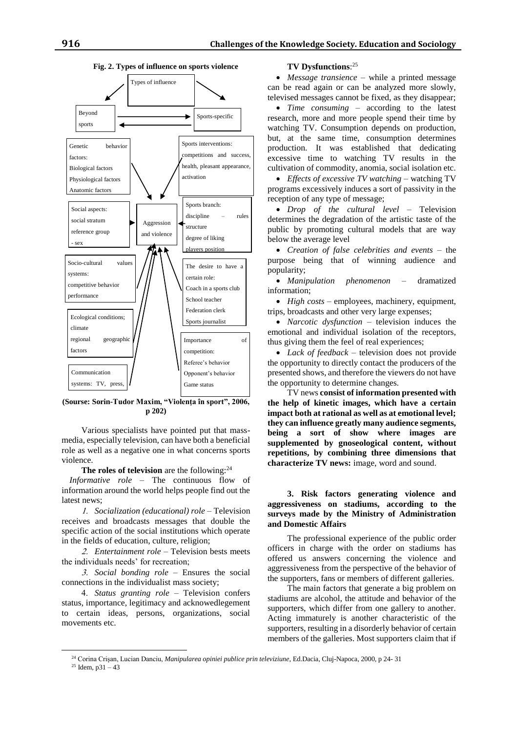

#### **Fig. 2. Types of influence on sports violence**

**(Sourse: Sorin-Tudor Maxim, "Violenţa în sport", 2006, p 202)**

Various specialists have pointed put that massmedia, especially television, can have both a beneficial role as well as a negative one in what concerns sports violence.

The roles of television are the following:<sup>24</sup>

*Informative role* – The continuous flow of information around the world helps people find out the latest news;

 *Socialization (educational) role* – Television receives and broadcasts messages that double the specific action of the social institutions which operate in the fields of education, culture, religion;

 *Entertainment role* – Television bests meets the individuals needs' for recreation;

 *Social bonding role* – Ensures the social connections in the individualist mass society;

 *Status granting role* – Television confers status, importance, legitimacy and acknowedlegement to certain ideas, persons, organizations, social movements etc.

### **TV Dysfunctions**: 25

 *Message transience* – while a printed message can be read again or can be analyzed more slowly, televised messages cannot be fixed, as they disappear;

 *Time consuming* – according to the latest research, more and more people spend their time by watching TV. Consumption depends on production, but, at the same time, consumption determines production. It was established that dedicating excessive time to watching TV results in the cultivation of commodity, anomia, social isolation etc.

 *Effects of excessive TV watching* – watching TV programs excessively induces a sort of passivity in the reception of any type of message;

 *Drop of the cultural level* – Television determines the degradation of the artistic taste of the public by promoting cultural models that are way below the average level

 *Creation of false celebrities and events* – the purpose being that of winning audience and popularity;

 *Manipulation phenomenon* – dramatized information;

 *High costs* – employees, machinery, equipment, trips, broadcasts and other very large expenses;

 *Narcotic dysfunction* – television induces the emotional and individual isolation of the receptors, thus giving them the feel of real experiences;

 *Lack of feedback* – television does not provide the opportunity to directly contact the producers of the presented shows, and therefore the viewers do not have the opportunity to determine changes.

TV news **consist of information presented with the help of kinetic images, which have a certain impact both at rational as well as at emotional level; they can influence greatly many audience segments, being a sort of show where images are supplemented by gnoseological content, without repetitions, by combining three dimensions that characterize TV news:** image, word and sound.

## **3. Risk factors generating violence and aggressiveness on stadiums, according to the surveys made by the Ministry of Administration and Domestic Affairs**

The professional experience of the public order officers in charge with the order on stadiums has offered us answers concerning the violence and aggressiveness from the perspective of the behavior of the supporters, fans or members of different galleries.

The main factors that generate a big problem on stadiums are alcohol, the attitude and behavior of the supporters, which differ from one gallery to another. Acting immaturely is another characteristic of the supporters, resulting in a disorderly behavior of certain members of the galleries. Most supporters claim that if

<sup>24</sup> Corina Crişan, Lucian Danciu, *Manipularea opiniei publice prin televiziune*, Ed.Dacia, Cluj-Napoca, 2000, p 24- 31

 $25$  Idem, p31 – 43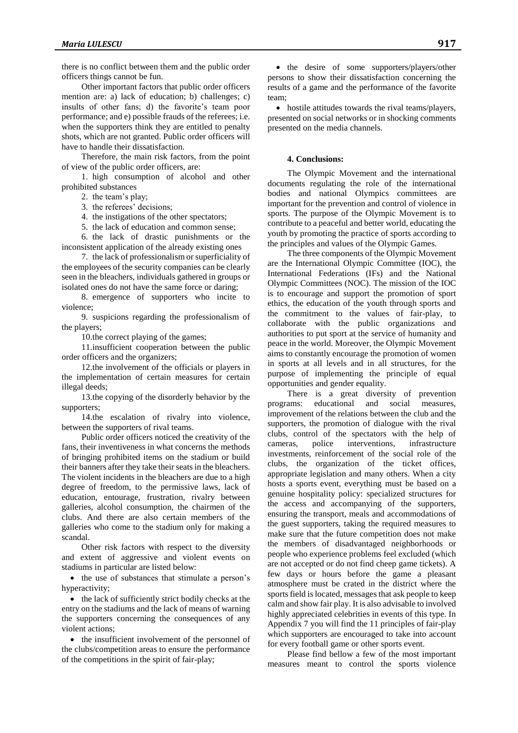there is no conflict between them and the public order officers things cannot be fun.

Other important factors that public order officers mention are: a) lack of education; b) challenges; c) insults of other fans; d) the favorite's team poor performance; and e) possible frauds of the referees; i.e. when the supporters think they are entitled to penalty shots, which are not granted. Public order officers will have to handle their dissatisfaction.

Therefore, the main risk factors, from the point of view of the public order officers, are:

1. high consumption of alcohol and other prohibited substances

2. the team's play;

3. the referees' decisions;

4. the instigations of the other spectators;

5. the lack of education and common sense;

6. the lack of drastic punishments or the inconsistent application of the already existing ones

7. the lack of professionalism or superficiality of the employees of the security companies can be clearly seen in the bleachers, individuals gathered in groups or isolated ones do not have the same force or daring;

8. emergence of supporters who incite to violence;

9. suspicions regarding the professionalism of the players;

10.the correct playing of the games;

11.insufficient cooperation between the public order officers and the organizers;

12.the involvement of the officials or players in the implementation of certain measures for certain illegal deeds;

13.the copying of the disorderly behavior by the supporters;

14.the escalation of rivalry into violence, between the supporters of rival teams.

Public order officers noticed the creativity of the fans, their inventiveness in what concerns the methods of bringing prohibited items on the stadium or build their banners after they take their seats in the bleachers. The violent incidents in the bleachers are due to a high degree of freedom, to the permissive laws, lack of education, entourage, frustration, rivalry between galleries, alcohol consumption, the chairmen of the clubs. And there are also certain members of the galleries who come to the stadium only for making a scandal.

Other risk factors with respect to the diversity and extent of aggressive and violent events on stadiums in particular are listed below:

• the use of substances that stimulate a person's hyperactivity;

 $\bullet$  the lack of sufficiently strict bodily checks at the entry on the stadiums and the lack of means of warning the supporters concerning the consequences of any violent actions;

• the insufficient involvement of the personnel of the clubs/competition areas to ensure the performance of the competitions in the spirit of fair-play;

• the desire of some supporters/players/other persons to show their dissatisfaction concerning the results of a game and the performance of the favorite team;

 hostile attitudes towards the rival teams/players, presented on social networks or in shocking comments presented on the media channels.

## **4. Conclusions:**

The Olympic Movement and the international documents regulating the role of the international bodies and national Olympics committees are important for the prevention and control of violence in sports. The purpose of the Olympic Movement is to contribute to a peaceful and better world, educating the youth by promoting the practice of sports according to the principles and values of the Olympic Games.

The three components of the Olympic Movement are the International Olympic Committee (IOC), the International Federations (IFs) and the National Olympic Committees (NOC). The mission of the IOC is to encourage and support the promotion of sport ethics, the education of the youth through sports and the commitment to the values of fair-play, to collaborate with the public organizations and authorities to put sport at the service of humanity and peace in the world. Moreover, the Olympic Movement aims to constantly encourage the promotion of women in sports at all levels and in all structures, for the purpose of implementing the principle of equal opportunities and gender equality.

There is a great diversity of prevention programs: educational and social measures, improvement of the relations between the club and the supporters, the promotion of dialogue with the rival clubs, control of the spectators with the help of cameras, police interventions, infrastructure investments, reinforcement of the social role of the clubs, the organization of the ticket offices, appropriate legislation and many others. When a city hosts a sports event, everything must be based on a genuine hospitality policy: specialized structures for the access and accompanying of the supporters, ensuring the transport, meals and accommodations of the guest supporters, taking the required measures to make sure that the future competition does not make the members of disadvantaged neighborhoods or people who experience problems feel excluded (which are not accepted or do not find cheep game tickets). A few days or hours before the game a pleasant atmosphere must be crated in the district where the sports field is located, messages that ask people to keep calm and show fair play. It is also advisable to involved highly appreciated celebrities in events of this type. In Appendix 7 you will find the 11 principles of fair-play which supporters are encouraged to take into account for every football game or other sports event.

Please find bellow a few of the most important measures meant to control the sports violence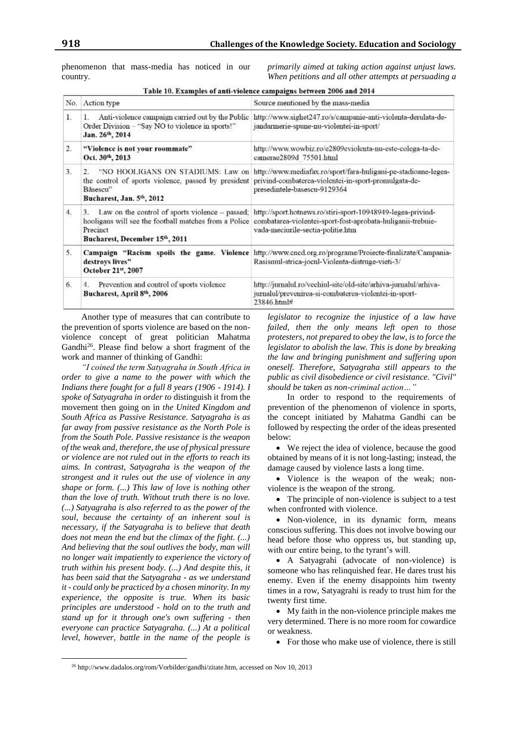phenomenon that mass-media has noticed in our country.

*primarily aimed at taking action against unjust laws. When petitions and all other attempts at persuading a* 

| No. | Action type                                                                                                                   | Source mentioned by the mass-media                                                                                                                                                                                                                                    |
|-----|-------------------------------------------------------------------------------------------------------------------------------|-----------------------------------------------------------------------------------------------------------------------------------------------------------------------------------------------------------------------------------------------------------------------|
| 1.  | Anti-violence campaign carried out by the Public<br>1.<br>Order Division - "Say NO to violence in sports!"<br>Jan. 26th, 2014 | http://www.sighet247.ro/s/campanie-anti-violenta-derulata-de-<br>jandarmerie-spune-nu-violentei-in-sport/                                                                                                                                                             |
| 2.  | "Violence is not your roommate"<br>Oct. 30th, 2013                                                                            | http://www.wowbiz.ro/e2809eviolenta-nu-este-colega-ta-de-<br>camerae2809d 75501.html                                                                                                                                                                                  |
| 3.  | Bāsescu"<br>Bucharest, Jan. 5th, 2012                                                                                         | "NO HOOLIGANS ON STADIUMS: Law on http://www.mediafax.ro/sport/fara-huligani-pe-stadioane-legea-<br>the control of sports violence, passed by president privind-combaterea-violentei-in-sport-promulgata-de-<br>presedintele-basescu-9129364                          |
| 4.  | 3.<br>Precinct<br>Bucharest, December 15th, 2011                                                                              | Law on the control of sports violence – passed: http://sport.hotnews.ro/stiri-sport-10948949-legea-privind-<br>hooligans will see the football matches from a Police combatarea-violentei-sport-fost-aprobata-huliganii-trebuie-<br>vada-meciurile-sectia-politie.htm |
| 5.  | destroys lives"<br>October 21st, 2007                                                                                         | Campaign "Racism spoils the game. Violence http://www.encd.org.ro/programe/Proiecte-finalizate/Campania-<br>Rasismul-strica-jocul-Violenta-distruge-vieti-3/                                                                                                          |
| 6.  | Prevention and control of sports violence<br>4.<br>Bucharest, April 8th, 2006                                                 | http://jurnalul.ro/vechiul-site/old-site/arhiva-jurnalul/arhiva-<br>jurnalul/prevenirea-si-combaterea-violentei-in-sport-<br>23846.html#                                                                                                                              |

Table 10. Examples of anti-violence campaigns between 2006 and 2014

Another type of measures that can contribute to the prevention of sports violence are based on the nonviolence concept of great politician Mahatma Gandhi<sup>26</sup>. Please find below a short fragment of the work and manner of thinking of Gandhi:

*"I coined the term Satyagraha in South Africa in order to give a name to the power with which the Indians there fought for a full 8 years (1906 - 1914). I spoke of Satyagraha in order to* distinguish it from the movement then going on in *the United Kingdom and South Africa as Passive Resistance. Satyagraha is as far away from passive resistance as the North Pole is from the South Pole. Passive resistance is the weapon of the weak and, therefore, the use of physical pressure or violence are not ruled out in the efforts to reach its aims. In contrast, Satyagraha is the weapon of the strongest and it rules out the use of violence in any shape or form. (...) This law of love is nothing other than the love of truth. Without truth there is no love. (...) Satyagraha is also referred to as the power of the soul, because the certainty of an inherent soul is necessary, if the Satyagraha is to believe that death does not mean the end but the climax of the fight. (...) And believing that the soul outlives the body, man will no longer wait impatiently to experience the victory of truth within his present body. (...) And despite this, it has been said that the Satyagraha - as we understand it - could only be practiced by a chosen minority. In my experience, the opposite is true. When its basic principles are understood - hold on to the truth and stand up for it through one's own suffering - then everyone can practice Satyagraha. (...) At a political level, however, battle in the name of the people is* 

 $\overline{a}$ 

*legislator to recognize the injustice of a law have failed, then the only means left open to those protesters, not prepared to obey the law, is to force the legislator to abolish the law. This is done by breaking the law and bringing punishment and suffering upon oneself. Therefore, Satyagraha still appears to the public as civil disobedience or civil resistance. "Civil" should be taken as non-criminal action…"* 

In order to respond to the requirements of prevention of the phenomenon of violence in sports, the concept initiated by Mahatma Gandhi can be followed by respecting the order of the ideas presented below:

 We reject the idea of violence, because the good obtained by means of it is not long-lasting; instead, the damage caused by violence lasts a long time.

• Violence is the weapon of the weak; nonviolence is the weapon of the strong.

• The principle of non-violence is subject to a test when confronted with violence.

• Non-violence, in its dynamic form, means conscious suffering. This does not involve bowing our head before those who oppress us, but standing up, with our entire being, to the tyrant's will.

 A Satyagrahi (advocate of non-violence) is someone who has relinquished fear. He dares trust his enemy. Even if the enemy disappoints him twenty times in a row, Satyagrahi is ready to trust him for the twenty first time.

 My faith in the non-violence principle makes me very determined. There is no more room for cowardice or weakness.

• For those who make use of violence, there is still

<sup>26</sup> http://www.dadalos.org/rom/Vorbilder/gandhi/zitate.htm, accessed on Nov 10, 2013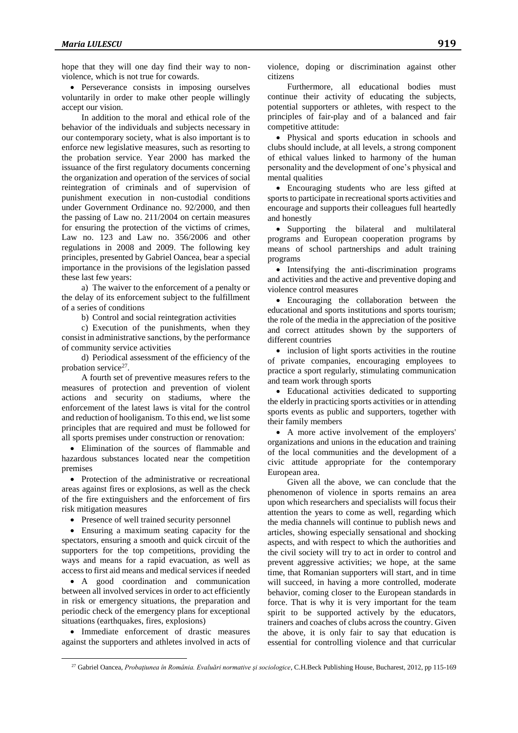hope that they will one day find their way to nonviolence, which is not true for cowards.

• Perseverance consists in imposing ourselves voluntarily in order to make other people willingly accept our vision.

In addition to the moral and ethical role of the behavior of the individuals and subjects necessary in our contemporary society, what is also important is to enforce new legislative measures, such as resorting to the probation service. Year 2000 has marked the issuance of the first regulatory documents concerning the organization and operation of the services of social reintegration of criminals and of supervision of punishment execution in non-custodial conditions under Government Ordinance no. 92/2000, and then the passing of Law no. 211/2004 on certain measures for ensuring the protection of the victims of crimes, Law no. 123 and Law no. 356/2006 and other regulations in 2008 and 2009. The following key principles, presented by Gabriel Oancea, bear a special importance in the provisions of the legislation passed these last few years:

a) The waiver to the enforcement of a penalty or the delay of its enforcement subject to the fulfillment of a series of conditions

b) Control and social reintegration activities

c) Execution of the punishments, when they consist in administrative sanctions, by the performance of community service activities

d) Periodical assessment of the efficiency of the probation service<sup>27</sup>.

A fourth set of preventive measures refers to the measures of protection and prevention of violent actions and security on stadiums, where the enforcement of the latest laws is vital for the control and reduction of hooliganism. To this end, we list some principles that are required and must be followed for all sports premises under construction or renovation:

 Elimination of the sources of flammable and hazardous substances located near the competition premises

• Protection of the administrative or recreational areas against fires or explosions, as well as the check of the fire extinguishers and the enforcement of firs risk mitigation measures

• Presence of well trained security personnel

 Ensuring a maximum seating capacity for the spectators, ensuring a smooth and quick circuit of the supporters for the top competitions, providing the ways and means for a rapid evacuation, as well as access to first aid means and medical services if needed

 A good coordination and communication between all involved services in order to act efficiently in risk or emergency situations, the preparation and periodic check of the emergency plans for exceptional situations (earthquakes, fires, explosions)

 Immediate enforcement of drastic measures against the supporters and athletes involved in acts of

 $\overline{a}$ 

violence, doping or discrimination against other citizens

Furthermore, all educational bodies must continue their activity of educating the subjects, potential supporters or athletes, with respect to the principles of fair-play and of a balanced and fair competitive attitude:

 Physical and sports education in schools and clubs should include, at all levels, a strong component of ethical values linked to harmony of the human personality and the development of one's physical and mental qualities

 Encouraging students who are less gifted at sports to participate in recreational sports activities and encourage and supports their colleagues full heartedly and honestly

 Supporting the bilateral and multilateral programs and European cooperation programs by means of school partnerships and adult training programs

• Intensifying the anti-discrimination programs and activities and the active and preventive doping and violence control measures

 Encouraging the collaboration between the educational and sports institutions and sports tourism; the role of the media in the appreciation of the positive and correct attitudes shown by the supporters of different countries

• inclusion of light sports activities in the routine of private companies, encouraging employees to practice a sport regularly, stimulating communication and team work through sports

 Educational activities dedicated to supporting the elderly in practicing sports activities or in attending sports events as public and supporters, together with their family members

 A more active involvement of the employers' organizations and unions in the education and training of the local communities and the development of a civic attitude appropriate for the contemporary European area.

Given all the above, we can conclude that the phenomenon of violence in sports remains an area upon which researchers and specialists will focus their attention the years to come as well, regarding which the media channels will continue to publish news and articles, showing especially sensational and shocking aspects, and with respect to which the authorities and the civil society will try to act in order to control and prevent aggressive activities; we hope, at the same time, that Romanian supporters will start, and in time will succeed, in having a more controlled, moderate behavior, coming closer to the European standards in force. That is why it is very important for the team spirit to be supported actively by the educators, trainers and coaches of clubs across the country. Given the above, it is only fair to say that education is essential for controlling violence and that curricular

<sup>27</sup> Gabriel Oancea, *Probaţiunea în România. Evaluări normative şi sociologice*, C.H.Beck Publishing House, Bucharest, 2012, pp 115-169